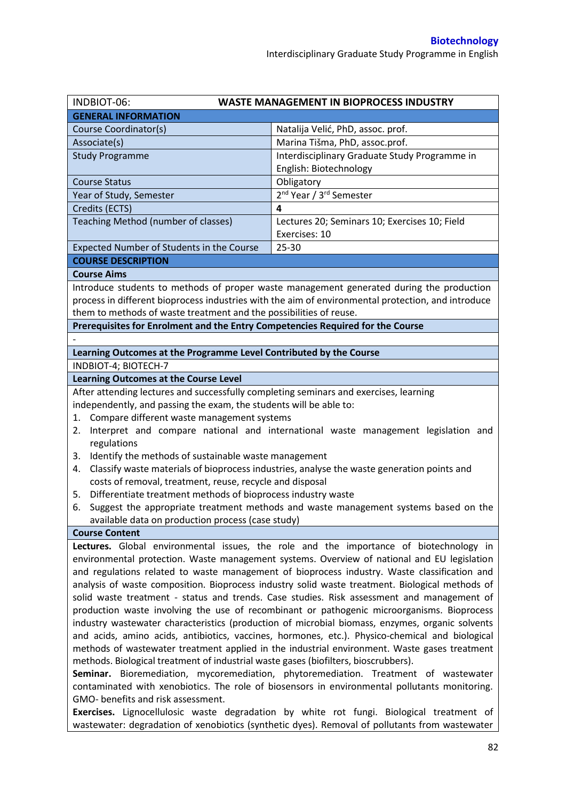| INDBIOT-06:                                                                                                                                                                | <b>WASTE MANAGEMENT IN BIOPROCESS INDUSTRY</b>                                                     |  |  |  |
|----------------------------------------------------------------------------------------------------------------------------------------------------------------------------|----------------------------------------------------------------------------------------------------|--|--|--|
| <b>GENERAL INFORMATION</b>                                                                                                                                                 |                                                                                                    |  |  |  |
| Course Coordinator(s)                                                                                                                                                      | Natalija Velić, PhD, assoc. prof.                                                                  |  |  |  |
| Associate(s)                                                                                                                                                               | Marina Tišma, PhD, assoc.prof.                                                                     |  |  |  |
| <b>Study Programme</b>                                                                                                                                                     | Interdisciplinary Graduate Study Programme in                                                      |  |  |  |
|                                                                                                                                                                            | English: Biotechnology                                                                             |  |  |  |
| <b>Course Status</b>                                                                                                                                                       | Obligatory                                                                                         |  |  |  |
| Year of Study, Semester                                                                                                                                                    | 2 <sup>nd</sup> Year / 3 <sup>rd</sup> Semester                                                    |  |  |  |
| Credits (ECTS)                                                                                                                                                             | 4                                                                                                  |  |  |  |
| Teaching Method (number of classes)                                                                                                                                        | Lectures 20; Seminars 10; Exercises 10; Field                                                      |  |  |  |
|                                                                                                                                                                            | Exercises: 10                                                                                      |  |  |  |
| Expected Number of Students in the Course                                                                                                                                  | $25 - 30$                                                                                          |  |  |  |
| <b>COURSE DESCRIPTION</b>                                                                                                                                                  |                                                                                                    |  |  |  |
| <b>Course Aims</b>                                                                                                                                                         |                                                                                                    |  |  |  |
|                                                                                                                                                                            | Introduce students to methods of proper waste management generated during the production           |  |  |  |
|                                                                                                                                                                            | process in different bioprocess industries with the aim of environmental protection, and introduce |  |  |  |
| them to methods of waste treatment and the possibilities of reuse.                                                                                                         |                                                                                                    |  |  |  |
| Prerequisites for Enrolment and the Entry Competencies Required for the Course                                                                                             |                                                                                                    |  |  |  |
|                                                                                                                                                                            |                                                                                                    |  |  |  |
| Learning Outcomes at the Programme Level Contributed by the Course                                                                                                         |                                                                                                    |  |  |  |
| INDBIOT-4; BIOTECH-7                                                                                                                                                       |                                                                                                    |  |  |  |
|                                                                                                                                                                            |                                                                                                    |  |  |  |
| <b>Learning Outcomes at the Course Level</b>                                                                                                                               |                                                                                                    |  |  |  |
| After attending lectures and successfully completing seminars and exercises, learning                                                                                      |                                                                                                    |  |  |  |
| independently, and passing the exam, the students will be able to:                                                                                                         |                                                                                                    |  |  |  |
| 1. Compare different waste management systems                                                                                                                              |                                                                                                    |  |  |  |
| 2.                                                                                                                                                                         | Interpret and compare national and international waste management legislation and                  |  |  |  |
| regulations                                                                                                                                                                |                                                                                                    |  |  |  |
| Identify the methods of sustainable waste management<br>3.                                                                                                                 |                                                                                                    |  |  |  |
| 4.<br>costs of removal, treatment, reuse, recycle and disposal                                                                                                             | Classify waste materials of bioprocess industries, analyse the waste generation points and         |  |  |  |
|                                                                                                                                                                            |                                                                                                    |  |  |  |
| Differentiate treatment methods of bioprocess industry waste<br>5.                                                                                                         |                                                                                                    |  |  |  |
| 6.                                                                                                                                                                         | Suggest the appropriate treatment methods and waste management systems based on the                |  |  |  |
| available data on production process (case study)                                                                                                                          |                                                                                                    |  |  |  |
| <b>Course Content</b>                                                                                                                                                      |                                                                                                    |  |  |  |
|                                                                                                                                                                            | Lectures. Global environmental issues, the role and the importance of biotechnology in             |  |  |  |
| environmental protection. Waste management systems. Overview of national and EU legislation                                                                                |                                                                                                    |  |  |  |
| and regulations related to waste management of bioprocess industry. Waste classification and                                                                               |                                                                                                    |  |  |  |
| analysis of waste composition. Bioprocess industry solid waste treatment. Biological methods of                                                                            |                                                                                                    |  |  |  |
| solid waste treatment - status and trends. Case studies. Risk assessment and management of                                                                                 |                                                                                                    |  |  |  |
| production waste involving the use of recombinant or pathogenic microorganisms. Bioprocess                                                                                 |                                                                                                    |  |  |  |
| industry wastewater characteristics (production of microbial biomass, enzymes, organic solvents                                                                            |                                                                                                    |  |  |  |
| and acids, amino acids, antibiotics, vaccines, hormones, etc.). Physico-chemical and biological                                                                            |                                                                                                    |  |  |  |
| methods of wastewater treatment applied in the industrial environment. Waste gases treatment                                                                               |                                                                                                    |  |  |  |
| methods. Biological treatment of industrial waste gases (biofilters, bioscrubbers).<br>Seminar. Bioremediation, mycoremediation, phytoremediation. Treatment of wastewater |                                                                                                    |  |  |  |
|                                                                                                                                                                            |                                                                                                    |  |  |  |
|                                                                                                                                                                            | contaminated with xenobiotics. The role of biosensors in environmental pollutants monitoring.      |  |  |  |
| GMO- benefits and risk assessment.                                                                                                                                         |                                                                                                    |  |  |  |
|                                                                                                                                                                            | Exercises. Lignocellulosic waste degradation by white rot fungi. Biological treatment of           |  |  |  |

wastewater: degradation of xenobiotics (synthetic dyes). Removal of pollutants from wastewater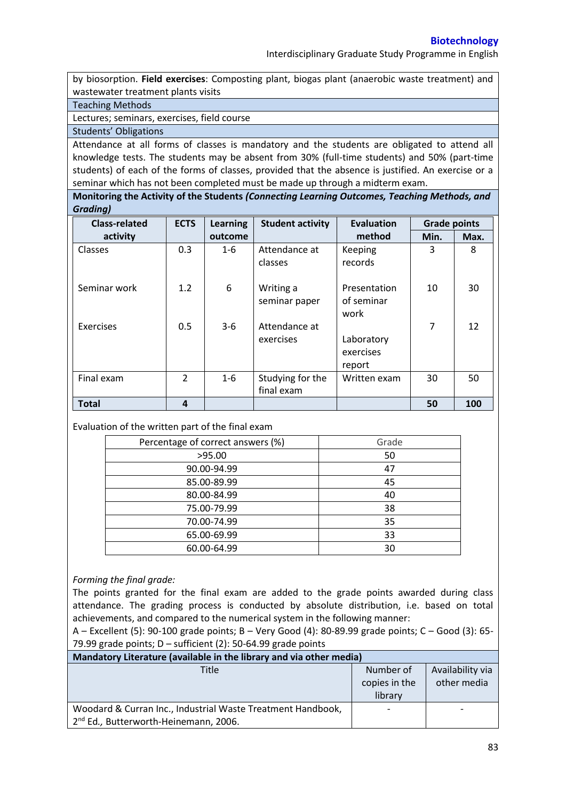by biosorption. **Field exercises**: Composting plant, biogas plant (anaerobic waste treatment) and wastewater treatment plants visits

Teaching Methods

Lectures; seminars, exercises, field course

Students' Obligations

Attendance at all forms of classes is mandatory and the students are obligated to attend all knowledge tests. The students may be absent from 30% (full-time students) and 50% (part-time students) of each of the forms of classes, provided that the absence is justified. An exercise or a seminar which has not been completed must be made up through a midterm exam.

**Monitoring the Activity of the Students** *(Connecting Learning Outcomes, Teaching Methods, and Grading)*

| <b>Class-related</b> | <b>ECTS</b>   | <b>Learning</b> | <b>Student activity</b>        | <b>Evaluation</b>                  | <b>Grade points</b> |      |
|----------------------|---------------|-----------------|--------------------------------|------------------------------------|---------------------|------|
| activity             |               | outcome         |                                | method                             | Min.                | Max. |
| <b>Classes</b>       | 0.3           | $1 - 6$         | Attendance at<br>classes       | Keeping<br>records                 | 3                   | 8    |
| Seminar work         | 1.2           | 6               | Writing a<br>seminar paper     | Presentation<br>of seminar<br>work | 10                  | 30   |
| Exercises            | 0.5           | $3-6$           | Attendance at<br>exercises     | Laboratory<br>exercises<br>report  | $\overline{7}$      | 12   |
| Final exam           | $\mathcal{P}$ | $1 - 6$         | Studying for the<br>final exam | Written exam                       | 30                  | 50   |
| <b>Total</b>         | 4             |                 |                                |                                    | 50                  | 100  |

Evaluation of the written part of the final exam

| Percentage of correct answers (%) | Grade |
|-----------------------------------|-------|
| >95.00                            | 50    |
| 90.00-94.99                       | 47    |
| 85.00-89.99                       | 45    |
| 80.00-84.99                       | 40    |
| 75.00-79.99                       | 38    |
| 70.00-74.99                       | 35    |
| 65.00-69.99                       | 33    |
| 60.00-64.99                       | 30    |

### *Forming the final grade:*

The points granted for the final exam are added to the grade points awarded during class attendance. The grading process is conducted by absolute distribution, i.e. based on total achievements, and compared to the numerical system in the following manner:

A – Excellent (5): 90-100 grade points; B – Very Good (4): 80-89.99 grade points; C – Good (3): 65- 79.99 grade points;  $D$  – sufficient (2): 50-64.99 grade points

| Mandatory Literature (available in the library and via other media) |               |                          |  |  |  |
|---------------------------------------------------------------------|---------------|--------------------------|--|--|--|
| Title                                                               | Number of     | Availability via         |  |  |  |
|                                                                     | copies in the | other media              |  |  |  |
|                                                                     | library       |                          |  |  |  |
| Woodard & Curran Inc., Industrial Waste Treatment Handbook,         |               | $\overline{\phantom{0}}$ |  |  |  |
| 2 <sup>nd</sup> Ed., Butterworth-Heinemann, 2006.                   |               |                          |  |  |  |